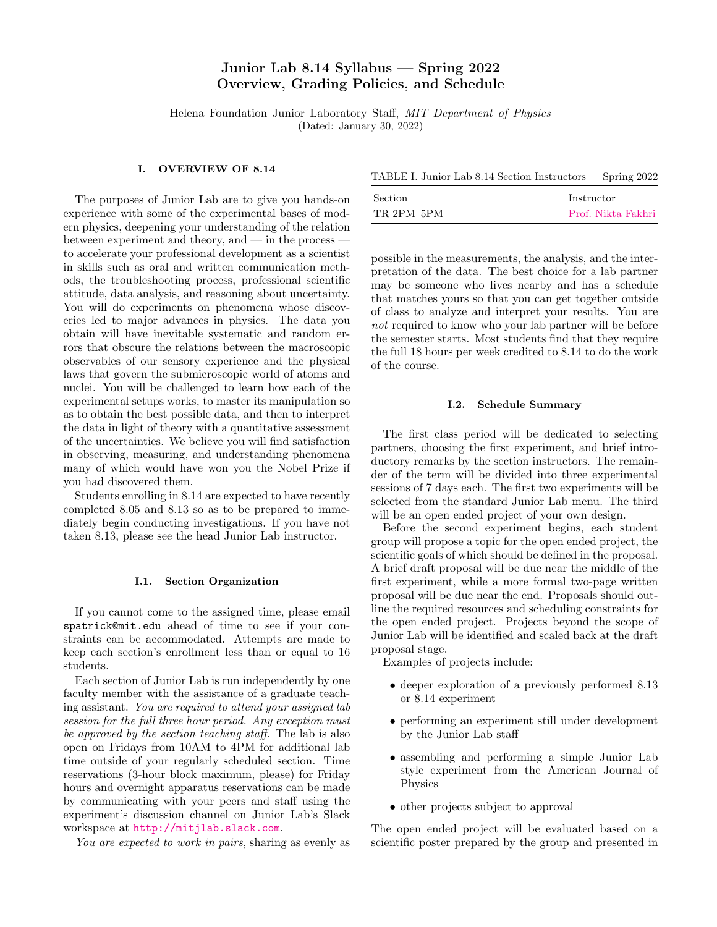# Junior Lab 8.14 Syllabus — Spring 2022 Overview, Grading Policies, and Schedule

Helena Foundation Junior Laboratory Staff, MIT Department of Physics (Dated: January 30, 2022)

### I. OVERVIEW OF 8.14

The purposes of Junior Lab are to give you hands-on experience with some of the experimental bases of modern physics, deepening your understanding of the relation between experiment and theory, and — in the process to accelerate your professional development as a scientist in skills such as oral and written communication methods, the troubleshooting process, professional scientific attitude, data analysis, and reasoning about uncertainty. You will do experiments on phenomena whose discoveries led to major advances in physics. The data you obtain will have inevitable systematic and random errors that obscure the relations between the macroscopic observables of our sensory experience and the physical laws that govern the submicroscopic world of atoms and nuclei. You will be challenged to learn how each of the experimental setups works, to master its manipulation so as to obtain the best possible data, and then to interpret the data in light of theory with a quantitative assessment of the uncertainties. We believe you will find satisfaction in observing, measuring, and understanding phenomena many of which would have won you the Nobel Prize if you had discovered them.

Students enrolling in 8.14 are expected to have recently completed 8.05 and 8.13 so as to be prepared to immediately begin conducting investigations. If you have not taken 8.13, please see the head Junior Lab instructor.

#### I.1. Section Organization

If you cannot come to the assigned time, please email spatrick@mit.edu ahead of time to see if your constraints can be accommodated. Attempts are made to keep each section's enrollment less than or equal to 16 students.

Each section of Junior Lab is run independently by one faculty member with the assistance of a graduate teaching assistant. You are required to attend your assigned lab session for the full three hour period. Any exception must be approved by the section teaching staff. The lab is also open on Fridays from 10AM to 4PM for additional lab time outside of your regularly scheduled section. Time reservations (3-hour block maximum, please) for Friday hours and overnight apparatus reservations can be made by communicating with your peers and staff using the experiment's discussion channel on Junior Lab's Slack workspace at <http://mitjlab.slack.com>.

You are expected to work in pairs, sharing as evenly as

TABLE I. Junior Lab 8.14 Section Instructors — Spring 2022

| <b>Section</b> | Instructor         |
|----------------|--------------------|
| TR 2PM-5PM     | Prof. Nikta Fakhri |

possible in the measurements, the analysis, and the interpretation of the data. The best choice for a lab partner may be someone who lives nearby and has a schedule that matches yours so that you can get together outside of class to analyze and interpret your results. You are not required to know who your lab partner will be before the semester starts. Most students find that they require the full 18 hours per week credited to 8.14 to do the work of the course.

#### I.2. Schedule Summary

The first class period will be dedicated to selecting partners, choosing the first experiment, and brief introductory remarks by the section instructors. The remainder of the term will be divided into three experimental sessions of 7 days each. The first two experiments will be selected from the standard Junior Lab menu. The third will be an open ended project of your own design.

Before the second experiment begins, each student group will propose a topic for the open ended project, the scientific goals of which should be defined in the proposal. A brief draft proposal will be due near the middle of the first experiment, while a more formal two-page written proposal will be due near the end. Proposals should outline the required resources and scheduling constraints for the open ended project. Projects beyond the scope of Junior Lab will be identified and scaled back at the draft proposal stage.

Examples of projects include:

- deeper exploration of a previously performed 8.13 or 8.14 experiment
- performing an experiment still under development by the Junior Lab staff
- assembling and performing a simple Junior Lab style experiment from the American Journal of Physics
- other projects subject to approval

The open ended project will be evaluated based on a scientific poster prepared by the group and presented in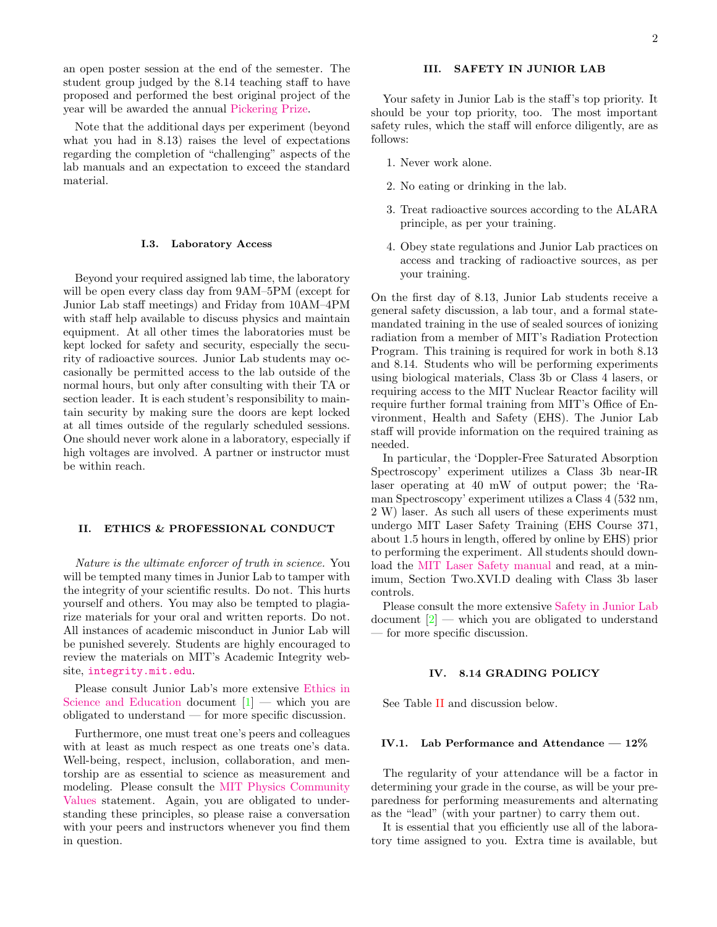an open poster session at the end of the semester. The student group judged by the 8.14 teaching staff to have proposed and performed the best original project of the year will be awarded the annual [Pickering Prize.](https://jlab.mit.edu/wiki/Pickering_Prize)

Note that the additional days per experiment (beyond what you had in 8.13) raises the level of expectations regarding the completion of "challenging" aspects of the lab manuals and an expectation to exceed the standard material.

### I.3. Laboratory Access

Beyond your required assigned lab time, the laboratory will be open every class day from 9AM–5PM (except for Junior Lab staff meetings) and Friday from 10AM–4PM with staff help available to discuss physics and maintain equipment. At all other times the laboratories must be kept locked for safety and security, especially the security of radioactive sources. Junior Lab students may occasionally be permitted access to the lab outside of the normal hours, but only after consulting with their TA or section leader. It is each student's responsibility to maintain security by making sure the doors are kept locked at all times outside of the regularly scheduled sessions. One should never work alone in a laboratory, especially if high voltages are involved. A partner or instructor must be within reach.

# II. ETHICS & PROFESSIONAL CONDUCT

Nature is the ultimate enforcer of truth in science. You will be tempted many times in Junior Lab to tamper with the integrity of your scientific results. Do not. This hurts yourself and others. You may also be tempted to plagiarize materials for your oral and written reports. Do not. All instances of academic misconduct in Junior Lab will be punished severely. Students are highly encouraged to review the materials on MIT's Academic Integrity website, [integrity.mit.edu](http://integrity.mit.edu).

Please consult Junior Lab's more extensive [Ethics in](http://web.mit.edu/8.13/www/JLIntroFiles/JLEthics.pdf) [Science and Education](http://web.mit.edu/8.13/www/JLIntroFiles/JLEthics.pdf) document  $[1]$  — which you are obligated to understand — for more specific discussion.

Furthermore, one must treat one's peers and colleagues with at least as much respect as one treats one's data. Well-being, respect, inclusion, collaboration, and mentorship are as essential to science as measurement and modeling. Please consult the [MIT Physics Community](https://physics.mit.edu/about-physics/community-values/) [Values](https://physics.mit.edu/about-physics/community-values/) statement. Again, you are obligated to understanding these principles, so please raise a conversation with your peers and instructors whenever you find them in question.

# III. SAFETY IN JUNIOR LAB

Your safety in Junior Lab is the staff's top priority. It should be your top priority, too. The most important safety rules, which the staff will enforce diligently, are as follows:

- 1. Never work alone.
- 2. No eating or drinking in the lab.
- 3. Treat radioactive sources according to the ALARA principle, as per your training.
- 4. Obey state regulations and Junior Lab practices on access and tracking of radioactive sources, as per your training.

On the first day of 8.13, Junior Lab students receive a general safety discussion, a lab tour, and a formal statemandated training in the use of sealed sources of ionizing radiation from a member of MIT's Radiation Protection Program. This training is required for work in both 8.13 and 8.14. Students who will be performing experiments using biological materials, Class 3b or Class 4 lasers, or requiring access to the MIT Nuclear Reactor facility will require further formal training from MIT's Office of Environment, Health and Safety (EHS). The Junior Lab staff will provide information on the required training as needed.

In particular, the 'Doppler-Free Saturated Absorption Spectroscopy' experiment utilizes a Class 3b near-IR laser operating at 40 mW of output power; the 'Raman Spectroscopy' experiment utilizes a Class 4 (532 nm, 2 W) laser. As such all users of these experiments must undergo MIT Laser Safety Training (EHS Course 371, about 1.5 hours in length, offered by online by EHS) prior to performing the experiment. All students should download the [MIT Laser Safety manual](https://ehs.mit.edu/site/sites/default/files/Laser_Safety.pdf) and read, at a minimum, Section Two.XVI.D dealing with Class 3b laser controls.

Please consult the more extensive [Safety in Junior Lab](http://web.mit.edu/8.13/www/JLIntroFiles/JLSafety.pdf)  $\alpha$  document  $\boxed{2}$  — which you are obligated to understand — for more specific discussion.

### IV. 8.14 GRADING POLICY

See Table [II](#page-2-0) and discussion below.

### IV.1. Lab Performance and Attendance  $-12\%$

The regularity of your attendance will be a factor in determining your grade in the course, as will be your preparedness for performing measurements and alternating as the "lead" (with your partner) to carry them out.

It is essential that you efficiently use all of the laboratory time assigned to you. Extra time is available, but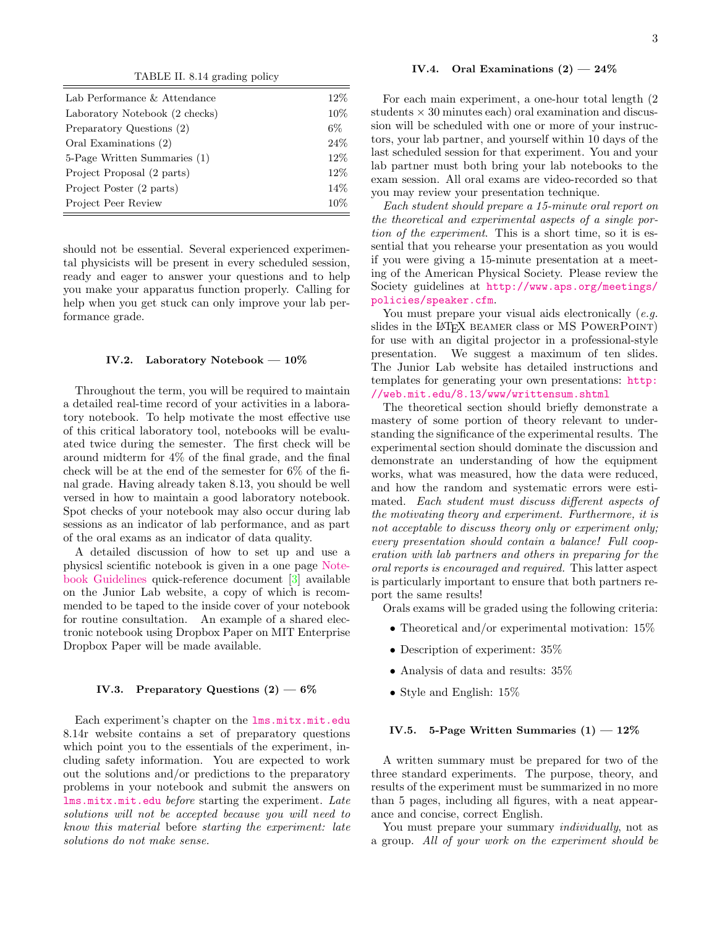<span id="page-2-0"></span>TABLE II. 8.14 grading policy

| Lab Performance & Attendance   | 12%  |
|--------------------------------|------|
| Laboratory Notebook (2 checks) | 10%  |
| Preparatory Questions (2)      | 6%   |
| Oral Examinations (2)          | 24%  |
| 5-Page Written Summaries (1)   | 12%  |
| Project Proposal (2 parts)     | 12%  |
| Project Poster (2 parts)       | 14\% |
| Project Peer Review            | 10%  |

should not be essential. Several experienced experimental physicists will be present in every scheduled session, ready and eager to answer your questions and to help you make your apparatus function properly. Calling for help when you get stuck can only improve your lab performance grade.

# IV.2. Laboratory Notebook — 10%

Throughout the term, you will be required to maintain a detailed real-time record of your activities in a laboratory notebook. To help motivate the most effective use of this critical laboratory tool, notebooks will be evaluated twice during the semester. The first check will be around midterm for 4% of the final grade, and the final check will be at the end of the semester for 6% of the final grade. Having already taken 8.13, you should be well versed in how to maintain a good laboratory notebook. Spot checks of your notebook may also occur during lab sessions as an indicator of lab performance, and as part of the oral exams as an indicator of data quality.

A detailed discussion of how to set up and use a physicsl scientific notebook is given in a one page [Note](http://web.mit.edu/8.13/www/JLIntroFiles/JLNotebooks.pdf)[book Guidelines](http://web.mit.edu/8.13/www/JLIntroFiles/JLNotebooks.pdf) quick-reference document [\[3\]](#page-4-2) available on the Junior Lab website, a copy of which is recommended to be taped to the inside cover of your notebook for routine consultation. An example of a shared electronic notebook using Dropbox Paper on MIT Enterprise Dropbox Paper will be made available.

# IV.3. Preparatory Questions  $(2)$  — 6%

Each experiment's chapter on the [lms.mitx.mit.edu](https://lms.mitx.mit.edu/) 8.14r website contains a set of preparatory questions which point you to the essentials of the experiment, including safety information. You are expected to work out the solutions and/or predictions to the preparatory problems in your notebook and submit the answers on [lms.mitx.mit.edu](https://lms.mitx.mit.edu/) before starting the experiment. Late solutions will not be accepted because you will need to know this material before starting the experiment: late solutions do not make sense.

# IV.4. Oral Examinations  $(2)$  - 24%

For each main experiment, a one-hour total length (2 students  $\times$  30 minutes each) oral examination and discussion will be scheduled with one or more of your instructors, your lab partner, and yourself within 10 days of the last scheduled session for that experiment. You and your lab partner must both bring your lab notebooks to the exam session. All oral exams are video-recorded so that you may review your presentation technique.

Each student should prepare a 15-minute oral report on the theoretical and experimental aspects of a single portion of the experiment. This is a short time, so it is essential that you rehearse your presentation as you would if you were giving a 15-minute presentation at a meeting of the American Physical Society. Please review the Society guidelines at [http://www.aps.org/meetings/](http://www.aps.org/meetings/policies/speaker.cfm) [policies/speaker.cfm](http://www.aps.org/meetings/policies/speaker.cfm).

You must prepare your visual aids electronically (e.g. slides in the LAT<sub>EX</sub> BEAMER class or MS POWERPOINT) for use with an digital projector in a professional-style presentation. We suggest a maximum of ten slides. The Junior Lab website has detailed instructions and templates for generating your own presentations: [http:](http://web.mit.edu/8.13/www/writtensum.shtml) [//web.mit.edu/8.13/www/writtensum.shtml](http://web.mit.edu/8.13/www/writtensum.shtml)

The theoretical section should briefly demonstrate a mastery of some portion of theory relevant to understanding the significance of the experimental results. The experimental section should dominate the discussion and demonstrate an understanding of how the equipment works, what was measured, how the data were reduced, and how the random and systematic errors were estimated. Each student must discuss different aspects of the motivating theory and experiment. Furthermore, it is not acceptable to discuss theory only or experiment only; every presentation should contain a balance! Full cooperation with lab partners and others in preparing for the oral reports is encouraged and required. This latter aspect is particularly important to ensure that both partners report the same results!

Orals exams will be graded using the following criteria:

- Theoretical and/or experimental motivation:  $15\%$
- Description of experiment:  $35\%$
- Analysis of data and results:  $35\%$
- Style and English: 15%

### IV.5. 5-Page Written Summaries  $(1)$  –  $12\%$

A written summary must be prepared for two of the three standard experiments. The purpose, theory, and results of the experiment must be summarized in no more than 5 pages, including all figures, with a neat appearance and concise, correct English.

You must prepare your summary *individually*, not as a group. All of your work on the experiment should be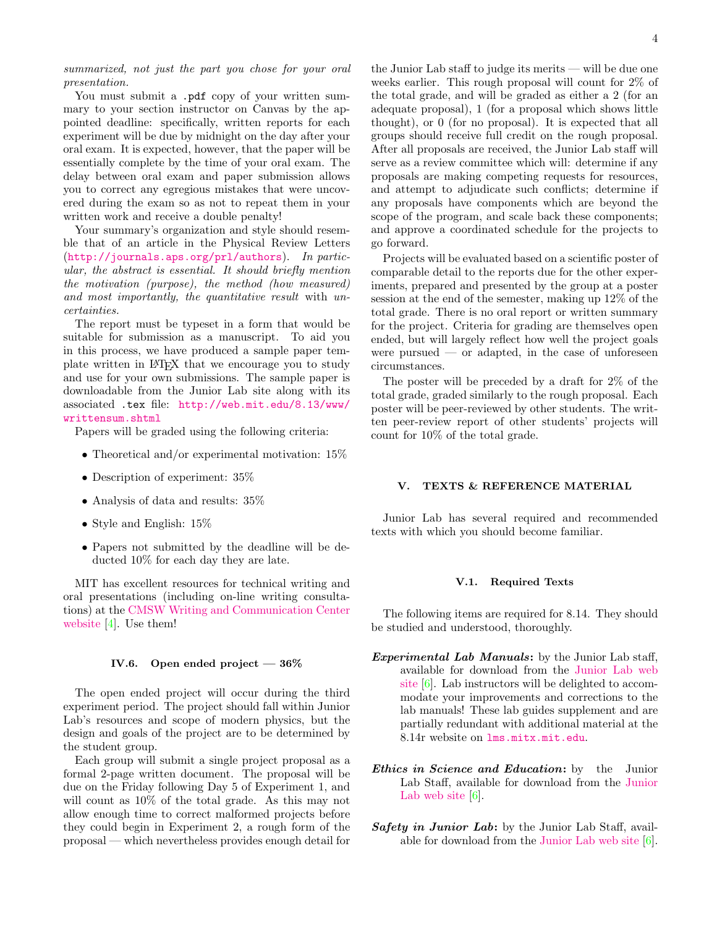summarized, not just the part you chose for your oral presentation.

You must submit a .pdf copy of your written summary to your section instructor on Canvas by the appointed deadline: specifically, written reports for each experiment will be due by midnight on the day after your oral exam. It is expected, however, that the paper will be essentially complete by the time of your oral exam. The delay between oral exam and paper submission allows you to correct any egregious mistakes that were uncovered during the exam so as not to repeat them in your written work and receive a double penalty!

Your summary's organization and style should resemble that of an article in the Physical Review Letters (<http://journals.aps.org/prl/authors>). In particular, the abstract is essential. It should briefly mention the motivation (purpose), the method (how measured) and most importantly, the quantitative result with uncertainties.

The report must be typeset in a form that would be suitable for submission as a manuscript. To aid you in this process, we have produced a sample paper template written in LATEX that we encourage you to study and use for your own submissions. The sample paper is downloadable from the Junior Lab site along with its associated .tex file: [http://web.mit.edu/8.13/www/](http://web.mit.edu/8.13/www/writtensum.shtml) [writtensum.shtml](http://web.mit.edu/8.13/www/writtensum.shtml)

Papers will be graded using the following criteria:

- Theoretical and/or experimental motivation:  $15\%$
- Description of experiment: 35%
- Analysis of data and results:  $35\%$
- Style and English: 15%
- Papers not submitted by the deadline will be deducted 10% for each day they are late.

MIT has excellent resources for technical writing and oral presentations (including on-line writing consultations) at the [CMSW Writing and Communication Center](http://cmsw.mit.edu/writing-and-communication-center/) [website](http://cmsw.mit.edu/writing-and-communication-center/) [\[4\]](#page-4-3). Use them!

### IV.6. Open ended project — 36%

The open ended project will occur during the third experiment period. The project should fall within Junior Lab's resources and scope of modern physics, but the design and goals of the project are to be determined by the student group.

Each group will submit a single project proposal as a formal 2-page written document. The proposal will be due on the Friday following Day 5 of Experiment 1, and will count as 10% of the total grade. As this may not allow enough time to correct malformed projects before they could begin in Experiment 2, a rough form of the proposal — which nevertheless provides enough detail for

the Junior Lab staff to judge its merits — will be due one weeks earlier. This rough proposal will count for 2% of the total grade, and will be graded as either a 2 (for an adequate proposal), 1 (for a proposal which shows little thought), or 0 (for no proposal). It is expected that all groups should receive full credit on the rough proposal. After all proposals are received, the Junior Lab staff will serve as a review committee which will: determine if any proposals are making competing requests for resources, and attempt to adjudicate such conflicts; determine if any proposals have components which are beyond the scope of the program, and scale back these components; and approve a coordinated schedule for the projects to go forward.

Projects will be evaluated based on a scientific poster of comparable detail to the reports due for the other experiments, prepared and presented by the group at a poster session at the end of the semester, making up 12% of the total grade. There is no oral report or written summary for the project. Criteria for grading are themselves open ended, but will largely reflect how well the project goals were pursued  $\sim$  or adapted, in the case of unforeseen circumstances.

The poster will be preceded by a draft for 2% of the total grade, graded similarly to the rough proposal. Each poster will be peer-reviewed by other students. The written peer-review report of other students' projects will count for 10% of the total grade.

# V. TEXTS & REFERENCE MATERIAL

Junior Lab has several required and recommended texts with which you should become familiar.

#### V.1. Required Texts

The following items are required for 8.14. They should be studied and understood, thoroughly.

- Experimental Lab Manuals: by the Junior Lab staff, available for download from the [Junior Lab web](http://web.mit.edu/8.13/www/experiments.shtml) [site](http://web.mit.edu/8.13/www/experiments.shtml) [\[6\]](#page-4-4). Lab instructors will be delighted to accommodate your improvements and corrections to the lab manuals! These lab guides supplement and are partially redundant with additional material at the 8.14r website on [lms.mitx.mit.edu](https://lms.mitx.mit.edu/).
- **Ethics in Science and Education:** by the Junior Lab Staff, available for download from the [Junior](http://web.mit.edu/8.13/www/experiments.shtml) [Lab web site](http://web.mit.edu/8.13/www/experiments.shtml) [\[6\]](#page-4-4).
- **Safety in Junior Lab:** by the Junior Lab Staff, available for download from the [Junior Lab web site](http://web.mit.edu/8.13/www/experiments.shtml) [\[6\]](#page-4-4).